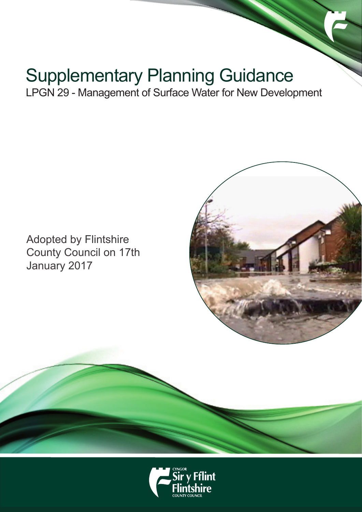# Supplementary Planning Guidance

LPGN 29 - Management of Surface Water for New Development

Adopted by Flintshire County Council on 17th January 2017



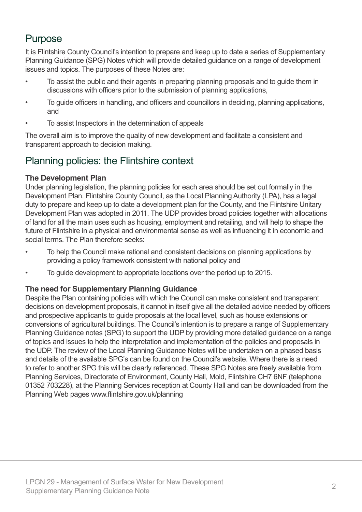### Purpose

It is Flintshire County Council's intention to prepare and keep up to date a series of Supplementary Planning Guidance (SPG) Notes which will provide detailed guidance on a range of development issues and topics. The purposes of these Notes are:

- To assist the public and their agents in preparing planning proposals and to guide them in discussions with officers prior to the submission of planning applications,
- To guide officers in handling, and officers and councillors in deciding, planning applications, and
- To assist Inspectors in the determination of appeals

The overall aim is to improve the quality of new development and facilitate a consistent and transparent approach to decision making.

### Planning policies: the Flintshire context

#### **The Development Plan**

Under planning legislation, the planning policies for each area should be set out formally in the Development Plan. Flintshire County Council, as the Local Planning Authority (LPA), has a legal duty to prepare and keep up to date a development plan for the County, and the Flintshire Unitary Development Plan was adopted in 2011. The UDP provides broad policies together with allocations of land for all the main uses such as housing, employment and retailing, and will help to shape the future of Flintshire in a physical and environmental sense as well as influencing it in economic and social terms. The Plan therefore seeks:

- To help the Council make rational and consistent decisions on planning applications by providing a policy framework consistent with national policy and
- To guide development to appropriate locations over the period up to 2015.

#### **The need for Supplementary Planning Guidance**

Despite the Plan containing policies with which the Council can make consistent and transparent decisions on development proposals, it cannot in itself give all the detailed advice needed by officers and prospective applicants to guide proposals at the local level, such as house extensions or conversions of agricultural buildings. The Council's intention is to prepare a range of Supplementary Planning Guidance notes (SPG) to support the UDP by providing more detailed guidance on a range of topics and issues to help the interpretation and implementation of the policies and proposals in the UDP. The review of the Local Planning Guidance Notes will be undertaken on a phased basis and details of the available SPG's can be found on the Council's website. Where there is a need to refer to another SPG this will be clearly referenced. These SPG Notes are freely available from Planning Services, Directorate of Environment, County Hall, Mold, Flintshire CH7 6NF (telephone 01352 703228), at the Planning Services reception at County Hall and can be downloaded from the Planning Web pages www.flintshire.gov.uk/planning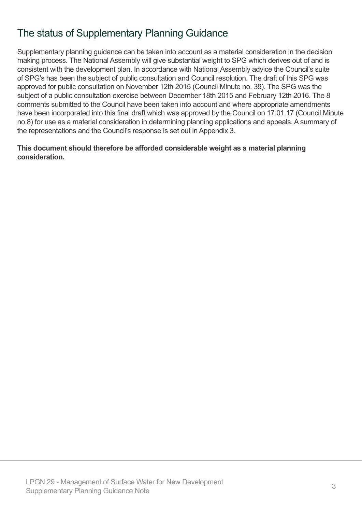# The status of Supplementary Planning Guidance

Supplementary planning guidance can be taken into account as a material consideration in the decision making process. The National Assembly will give substantial weight to SPG which derives out of and is consistent with the development plan. In accordance with National Assembly advice the Council's suite of SPG's has been the subject of public consultation and Council resolution. The draft of this SPG was approved for public consultation on November 12th 2015 (Council Minute no. 39). The SPG was the subject of a public consultation exercise between December 18th 2015 and February 12th 2016. The 8 comments submitted to the Council have been taken into account and where appropriate amendments have been incorporated into this final draft which was approved by the Council on 17.01.17 (Council Minute no.8) for use as a material consideration in determining planning applications and appeals. A summary of the representations and the Council's response is set out in Appendix 3.

#### **This document should therefore be afforded considerable weight as a material planning consideration.**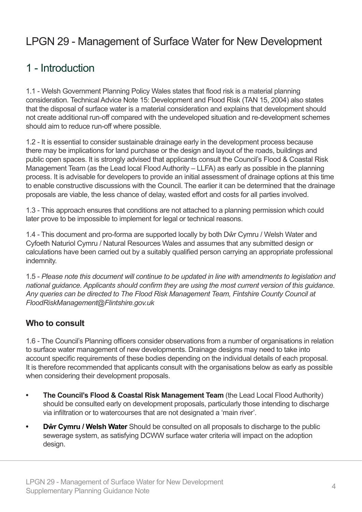# LPGN 29 - Management of Surface Water for New Development

# 1 - Introduction

1.1 - Welsh Government Planning Policy Wales states that flood risk is a material planning consideration. Technical Advice Note 15: Development and Flood Risk (TAN 15, 2004) also states that the disposal of surface water is a material consideration and explains that development should not create additional run-off compared with the undeveloped situation and re-development schemes should aim to reduce run-off where possible.

1.2 - It is essential to consider sustainable drainage early in the development process because there may be implications for land purchase or the design and layout of the roads, buildings and public open spaces. It is strongly advised that applicants consult the Council's Flood & Coastal Risk Management Team (as the Lead local Flood Authority – LLFA) as early as possible in the planning process. It is advisable for developers to provide an initial assessment of drainage options at this time to enable constructive discussions with the Council. The earlier it can be determined that the drainage proposals are viable, the less chance of delay, wasted effort and costs for all parties involved.

1.3 - This approach ensures that conditions are not attached to a planning permission which could later prove to be impossible to implement for legal or technical reasons.

1.4 - This document and pro-forma are supported locally by both Dŵr Cymru / Welsh Water and Cyfoeth Naturiol Cymru / Natural Resources Wales and assumes that any submitted design or calculations have been carried out by a suitably qualified person carrying an appropriate professional indemnity.

1.5 - *Please note this document will continue to be updated in line with amendments to legislation and national guidance. Applicants should confirm they are using the most current version of this guidance. Any queries can be directed to The Flood Risk Management Team, Fintshire County Council at FloodRiskManagement@Flintshire.gov.uk*

### **Who to consult**

1.6 - The Council's Planning officers consider observations from a number of organisations in relation to surface water management of new developments. Drainage designs may need to take into account specific requirements of these bodies depending on the individual details of each proposal. It is therefore recommended that applicants consult with the organisations below as early as possible when considering their development proposals.

- **The Council's Flood & Coastal Risk Management Team** (the Lead Local Flood Authority) should be consulted early on development proposals, particularly those intending to discharge via infiltration or to watercourses that are not designated a 'main river'.
- **Dŵr Cymru** / Welsh Water Should be consulted on all proposals to discharge to the public sewerage system, as satisfying DCWW surface water criteria will impact on the adoption design.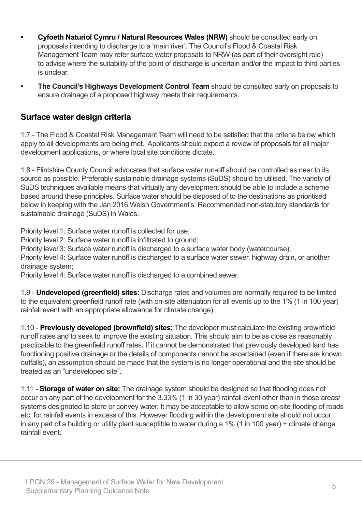- **Cyfoeth Naturiol Cymru / Natural Resources Wales (NRW)** should be consulted early on proposals intending to discharge to a 'main river'. The Council's Flood & Coastal Risk Management Team may refer surface water proposals to NRW (as part of their oversight role) to advise where the suitability of the point of discharge is uncertain and/or the impact to third parties is unclear.
- **The Council's Highways Development Control Team** should be consulted early on proposals to ensure drainage of a proposed highway meets their requirements.

### **Surface water design criteria**

1.7 - The Flood & Coastal Risk Management Team will need to be satisfied that the criteria below which apply to all developments are being met. Applicants should expect a review of proposals for all major development applications, or where local site conditions dictate.

1.8 - Flintshire County Council advocates that surface water run-off should be controlled as near to its source as possible. Preferably sustainable drainage systems (SuDS) should be utilised. The variety of SuDS techniques available means that virtually any development should be able to include a scheme based around these principles. Surface water should be disposed of to the destinations as prioritised below in keeping with the Jan 2016 Welsh Government's: Recommended non-statutory standards for sustainable drainage (SuDS) in Wales.

Priority level 1: Surface water runoff is collected for use;

Priority level 2: Surface water runoff is infiltrated to ground;

Priority level 3: Surface water runoff is discharged to a surface water body (watercourse);

Priority level 4: Surface water runoff is discharged to a surface water sewer, highway drain, or another drainage system;

Priority level 4: Surface water runoff is discharged to a combined sewer.

1.9 - **Undeveloped (greenfield) sites:** Discharge rates and volumes are normally required to be limited to the equivalent greenfield runoff rate (with on-site attenuation for all events up to the 1% (1 in 100 year) rainfall event with an appropriate allowance for climate change).

1.10 - **Previously developed (brownfield) sites:** The developer must calculate the existing brownfield runoff rates and to seek to improve the existing situation. This should aim to be as close as reasonably practicable to the greenfield runoff rates. If it cannot be demonstrated that previously developed land has functioning positive drainage or the details of components cannot be ascertained (even if there are known outfalls), an assumption should be made that the system is no longer operational and the site should be treated as an "undeveloped site".

1.11 **- Storage of water on site:** The drainage system should be designed so that flooding does not occur on any part of the development for the 3.33% (1 in 30 year) rainfall event other than in those areas/ systems designated to store or convey water. It may be acceptable to allow some on-site flooding of roads etc. for rainfall events in excess of this. However flooding within the development site should not occur in any part of a building or utility plant susceptible to water during a 1% (1 in 100 year) + climate change rainfall event.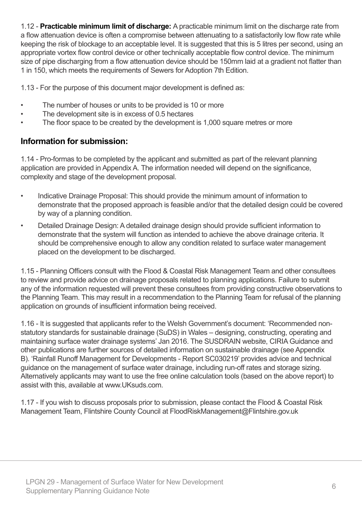1.12 - **Practicable minimum limit of discharge:** A practicable minimum limit on the discharge rate from a flow attenuation device is often a compromise between attenuating to a satisfactorily low flow rate while keeping the risk of blockage to an acceptable level. It is suggested that this is 5 litres per second, using an appropriate vortex flow control device or other technically acceptable flow control device. The minimum size of pipe discharging from a flow attenuation device should be 150mm laid at a gradient not flatter than 1 in 150, which meets the requirements of Sewers for Adoption 7th Edition.

1.13 - For the purpose of this document major development is defined as:

- The number of houses or units to be provided is 10 or more
- The development site is in excess of 0.5 hectares
- The floor space to be created by the development is 1,000 square metres or more

### **Information for submission:**

1.14 - Pro-formas to be completed by the applicant and submitted as part of the relevant planning application are provided in Appendix A. The information needed will depend on the significance, complexity and stage of the development proposal.

- Indicative Drainage Proposal: This should provide the minimum amount of information to demonstrate that the proposed approach is feasible and/or that the detailed design could be covered by way of a planning condition.
- Detailed Drainage Design: A detailed drainage design should provide sufficient information to demonstrate that the system will function as intended to achieve the above drainage criteria. It should be comprehensive enough to allow any condition related to surface water management placed on the development to be discharged.

1.15 - Planning Officers consult with the Flood & Coastal Risk Management Team and other consultees to review and provide advice on drainage proposals related to planning applications. Failure to submit any of the information requested will prevent these consultees from providing constructive observations to the Planning Team. This may result in a recommendation to the Planning Team for refusal of the planning application on grounds of insufficient information being received.

1.16 - It is suggested that applicants refer to the Welsh Government's document: 'Recommended nonstatutory standards for sustainable drainage (SuDS) in Wales – designing, constructing, operating and maintaining surface water drainage systems' Jan 2016. The SUSDRAIN website, CIRIA Guidance and other publications are further sources of detailed information on sustainable drainage (see Appendix B). 'Rainfall Runoff Management for Developments - Report SC030219' provides advice and technical guidance on the management of surface water drainage, including run-off rates and storage sizing. Alternatively applicants may want to use the free online calculation tools (based on the above report) to assist with this, available at www.UKsuds.com.

1.17 - If you wish to discuss proposals prior to submission, please contact the Flood & Coastal Risk Management Team, Flintshire County Council at FloodRiskManagement@Flintshire.gov.uk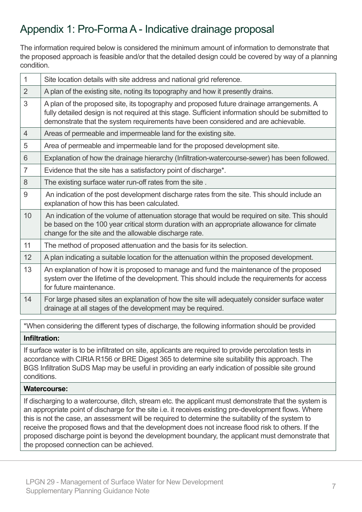# Appendix 1: Pro-Forma A - Indicative drainage proposal

The information required below is considered the minimum amount of information to demonstrate that the proposed approach is feasible and/or that the detailed design could be covered by way of a planning condition.

| 1              | Site location details with site address and national grid reference.                                                                                                                                                                                                                |
|----------------|-------------------------------------------------------------------------------------------------------------------------------------------------------------------------------------------------------------------------------------------------------------------------------------|
| $\overline{2}$ | A plan of the existing site, noting its topography and how it presently drains.                                                                                                                                                                                                     |
| 3              | A plan of the proposed site, its topography and proposed future drainage arrangements. A<br>fully detailed design is not required at this stage. Sufficient information should be submitted to<br>demonstrate that the system requirements have been considered and are achievable. |
| $\overline{4}$ | Areas of permeable and impermeable land for the existing site.                                                                                                                                                                                                                      |
| 5              | Area of permeable and impermeable land for the proposed development site.                                                                                                                                                                                                           |
| 6              | Explanation of how the drainage hierarchy (Infiltration-watercourse-sewer) has been followed.                                                                                                                                                                                       |
| $\overline{7}$ | Evidence that the site has a satisfactory point of discharge*.                                                                                                                                                                                                                      |
| 8              | The existing surface water run-off rates from the site.                                                                                                                                                                                                                             |
| 9              | An indication of the post development discharge rates from the site. This should include an<br>explanation of how this has been calculated.                                                                                                                                         |
| 10             | An indication of the volume of attenuation storage that would be required on site. This should<br>be based on the 100 year critical storm duration with an appropriate allowance for climate<br>change for the site and the allowable discharge rate.                               |
| 11             | The method of proposed attenuation and the basis for its selection.                                                                                                                                                                                                                 |
| 12             | A plan indicating a suitable location for the attenuation within the proposed development.                                                                                                                                                                                          |
| 13             | An explanation of how it is proposed to manage and fund the maintenance of the proposed<br>system over the lifetime of the development. This should include the requirements for access<br>for future maintenance.                                                                  |
| 14             | For large phased sites an explanation of how the site will adequately consider surface water<br>drainage at all stages of the development may be required.                                                                                                                          |

\*When considering the different types of discharge, the following information should be provided

#### **Infiltration:**

If surface water is to be infiltrated on site, applicants are required to provide percolation tests in accordance with CIRIA R156 or BRE Digest 365 to determine site suitability this approach. The BGS Infiltration SuDS Map may be useful in providing an early indication of possible site ground conditions.

#### **Watercourse:**

If discharging to a watercourse, ditch, stream etc. the applicant must demonstrate that the system is an appropriate point of discharge for the site i.e. it receives existing pre-development flows. Where this is not the case, an assessment will be required to determine the suitability of the system to receive the proposed flows and that the development does not increase flood risk to others. If the proposed discharge point is beyond the development boundary, the applicant must demonstrate that the proposed connection can be achieved.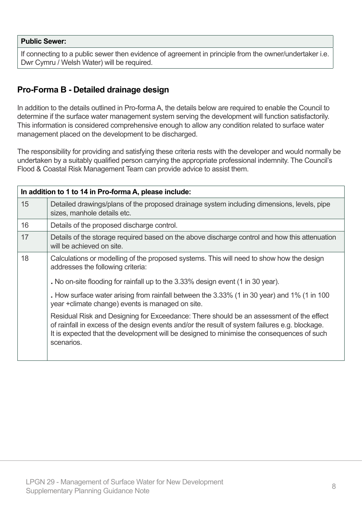#### **Public Sewer:**

If connecting to a public sewer then evidence of agreement in principle from the owner/undertaker i.e. Dwr Cymru / Welsh Water) will be required.

### **Pro-Forma B - Detailed drainage design**

In addition to the details outlined in Pro-forma A, the details below are required to enable the Council to determine if the surface water management system serving the development will function satisfactorily. This information is considered comprehensive enough to allow any condition related to surface water management placed on the development to be discharged.

The responsibility for providing and satisfying these criteria rests with the developer and would normally be undertaken by a suitably qualified person carrying the appropriate professional indemnity. The Council's Flood & Coastal Risk Management Team can provide advice to assist them.

| In addition to 1 to 14 in Pro-forma A, please include: |                                                                                                                                                                                                                                                                                                      |  |  |  |
|--------------------------------------------------------|------------------------------------------------------------------------------------------------------------------------------------------------------------------------------------------------------------------------------------------------------------------------------------------------------|--|--|--|
| 15                                                     | Detailed drawings/plans of the proposed drainage system including dimensions, levels, pipe<br>sizes, manhole details etc.                                                                                                                                                                            |  |  |  |
| 16                                                     | Details of the proposed discharge control.                                                                                                                                                                                                                                                           |  |  |  |
| 17                                                     | Details of the storage required based on the above discharge control and how this attenuation<br>will be achieved on site.                                                                                                                                                                           |  |  |  |
| 18                                                     | Calculations or modelling of the proposed systems. This will need to show how the design<br>addresses the following criteria:                                                                                                                                                                        |  |  |  |
|                                                        | . No on-site flooding for rainfall up to the 3.33% design event (1 in 30 year).                                                                                                                                                                                                                      |  |  |  |
|                                                        | . How surface water arising from rainfall between the 3.33% (1 in 30 year) and 1% (1 in 100<br>year + climate change) events is managed on site.                                                                                                                                                     |  |  |  |
|                                                        | Residual Risk and Designing for Exceedance: There should be an assessment of the effect<br>of rainfall in excess of the design events and/or the result of system failures e.g. blockage.<br>It is expected that the development will be designed to minimise the consequences of such<br>scenarios. |  |  |  |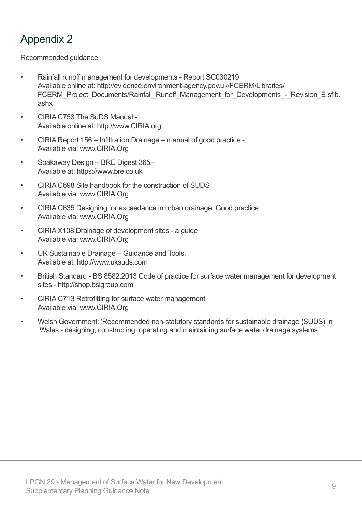# Appendix 2

Recommended guidance.

- Rainfall runoff management for developments Report SC030219 Available online at: http://evidence.environment-agency.gov.uk/FCERM/Libraries/ FCERM\_Project\_Documents/Rainfall\_Runoff\_Management\_for\_Developments\_-\_Revision\_E.sflb. ashx
- CIRIA C753 The SuDS Manual - Available online at: http://www.CIRIA.org
- CIRIA Report 156 Infiltration Drainage manual of good practice - Available via: www.CIRIA.Org
- Soakaway Design BRE Digest 365 - Available at: https://www.bre.co.uk
- CIRIA C698 Site handbook for the construction of SUDS Available via: www.CIRIA.Org
- CIRIA C635 Designing for exceedance in urban drainage: Good practice Available via: www.CIRIA.Org
- CIRIA X108 Drainage of development sites a guide Available via: www.CIRIA.Org
- UK Sustainable Drainage Guidance and Tools. Available at: http://www.uksuds.com
- British Standard BS 8582:2013 Code of practice for surface water management for development sites - http://shop.bsigroup.com
- CIRIA C713 Retrofitting for surface water management Available via: www.CIRIA.Org
- Welsh Government: 'Recommended non-statutory standards for sustainable drainage (SUDS) in Wales - designing, constructing, operating and maintaining surface water drainage systems.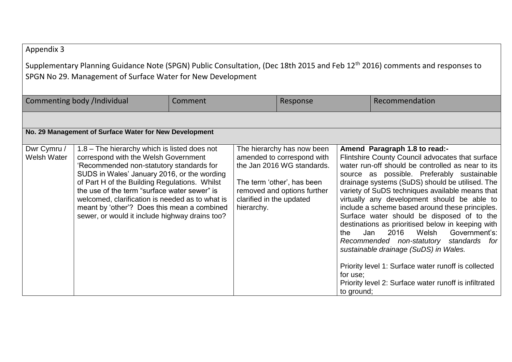### Appendix 3

Supplementary Planning Guidance Note (SPGN) Public Consultation, (Dec 18th 2015 and Feb 12<sup>th</sup> 2016) comments and responses to SPGN No 29. Management of Surface Water for New Development

| Commenting body /Individual                            |                                                                                                                                                                                                                                                                                                                                                                                                                                     | Comment |                                        | Response                                                                                                                                            |                               | Recommendation                                                                                                                                                                                                                                                                                                                                                                                                                                                                                                                                                                                                                                                                                                                                  |  |  |
|--------------------------------------------------------|-------------------------------------------------------------------------------------------------------------------------------------------------------------------------------------------------------------------------------------------------------------------------------------------------------------------------------------------------------------------------------------------------------------------------------------|---------|----------------------------------------|-----------------------------------------------------------------------------------------------------------------------------------------------------|-------------------------------|-------------------------------------------------------------------------------------------------------------------------------------------------------------------------------------------------------------------------------------------------------------------------------------------------------------------------------------------------------------------------------------------------------------------------------------------------------------------------------------------------------------------------------------------------------------------------------------------------------------------------------------------------------------------------------------------------------------------------------------------------|--|--|
|                                                        |                                                                                                                                                                                                                                                                                                                                                                                                                                     |         |                                        |                                                                                                                                                     |                               |                                                                                                                                                                                                                                                                                                                                                                                                                                                                                                                                                                                                                                                                                                                                                 |  |  |
| No. 29 Management of Surface Water for New Development |                                                                                                                                                                                                                                                                                                                                                                                                                                     |         |                                        |                                                                                                                                                     |                               |                                                                                                                                                                                                                                                                                                                                                                                                                                                                                                                                                                                                                                                                                                                                                 |  |  |
| Dwr Cymru /<br><b>Welsh Water</b>                      | 1.8 – The hierarchy which is listed does not<br>correspond with the Welsh Government<br>Recommended non-statutory standards for<br>SUDS in Wales' January 2016, or the wording<br>of Part H of the Building Regulations. Whilst<br>the use of the term "surface water sewer" is<br>welcomed, clarification is needed as to what is<br>meant by 'other'? Does this mean a combined<br>sewer, or would it include highway drains too? |         | clarified in the updated<br>hierarchy. | The hierarchy has now been<br>amended to correspond with<br>the Jan 2016 WG standards.<br>The term 'other', has been<br>removed and options further | the<br>for use;<br>to ground; | Amend Paragraph 1.8 to read:-<br>Flintshire County Council advocates that surface<br>water run-off should be controlled as near to its<br>source as possible. Preferably sustainable<br>drainage systems (SuDS) should be utilised. The<br>variety of SuDS techniques available means that<br>virtually any development should be able to<br>include a scheme based around these principles.<br>Surface water should be disposed of to the<br>destinations as prioritised below in keeping with<br>2016<br>Welsh<br>Government's:<br>Jan<br>Recommended non-statutory<br>standards for<br>sustainable drainage (SuDS) in Wales.<br>Priority level 1: Surface water runoff is collected<br>Priority level 2: Surface water runoff is infiltrated |  |  |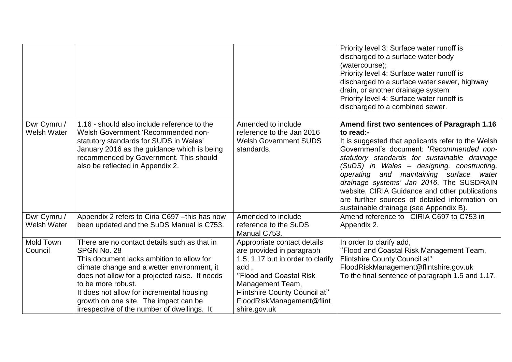|                                   |                                                                                                                                                                                                                                                                                                                                                                      |                                                                                                                                                                                                                                    | Priority level 3: Surface water runoff is<br>discharged to a surface water body<br>(watercourse);<br>Priority level 4: Surface water runoff is<br>discharged to a surface water sewer, highway<br>drain, or another drainage system<br>Priority level 4: Surface water runoff is<br>discharged to a combined sewer.                                                                                                                                                                              |
|-----------------------------------|----------------------------------------------------------------------------------------------------------------------------------------------------------------------------------------------------------------------------------------------------------------------------------------------------------------------------------------------------------------------|------------------------------------------------------------------------------------------------------------------------------------------------------------------------------------------------------------------------------------|--------------------------------------------------------------------------------------------------------------------------------------------------------------------------------------------------------------------------------------------------------------------------------------------------------------------------------------------------------------------------------------------------------------------------------------------------------------------------------------------------|
| Dwr Cymru /<br><b>Welsh Water</b> | 1.16 - should also include reference to the<br>Welsh Government 'Recommended non-<br>statutory standards for SUDS in Wales'<br>January 2016 as the guidance which is being<br>recommended by Government. This should<br>also be reflected in Appendix 2.                                                                                                             | Amended to include<br>reference to the Jan 2016<br><b>Welsh Government SUDS</b><br>standards.                                                                                                                                      | Amend first two sentences of Paragraph 1.16<br>to read:-<br>It is suggested that applicants refer to the Welsh<br>Government's document: 'Recommended non-<br>statutory standards for sustainable drainage<br>(SuDS) in Wales - designing, constructing,<br>operating and maintaining surface<br>water<br>drainage systems' Jan 2016. The SUSDRAIN<br>website, CIRIA Guidance and other publications<br>are further sources of detailed information on<br>sustainable drainage (see Appendix B). |
| Dwr Cymru /<br><b>Welsh Water</b> | Appendix 2 refers to Ciria C697 - this has now<br>been updated and the SuDS Manual is C753.                                                                                                                                                                                                                                                                          | Amended to include<br>reference to the SuDS<br>Manual C753.                                                                                                                                                                        | Amend reference to CIRIA C697 to C753 in<br>Appendix 2.                                                                                                                                                                                                                                                                                                                                                                                                                                          |
| Mold Town<br>Council              | There are no contact details such as that in<br>SPGN No. 28<br>This document lacks ambition to allow for<br>climate change and a wetter environment, it<br>does not allow for a projected raise. It needs<br>to be more robust.<br>It does not allow for incremental housing<br>growth on one site. The impact can be<br>irrespective of the number of dwellings. It | Appropriate contact details<br>are provided in paragraph<br>1.5, 1.17 but in order to clarify<br>add,<br>"Flood and Coastal Risk<br>Management Team,<br>Flintshire County Council at"<br>FloodRiskManagement@flint<br>shire.gov.uk | In order to clarify add,<br>"Flood and Coastal Risk Management Team,<br>Flintshire County Council at"<br>FloodRiskManagement@flintshire.gov.uk<br>To the final sentence of paragraph 1.5 and 1.17.                                                                                                                                                                                                                                                                                               |